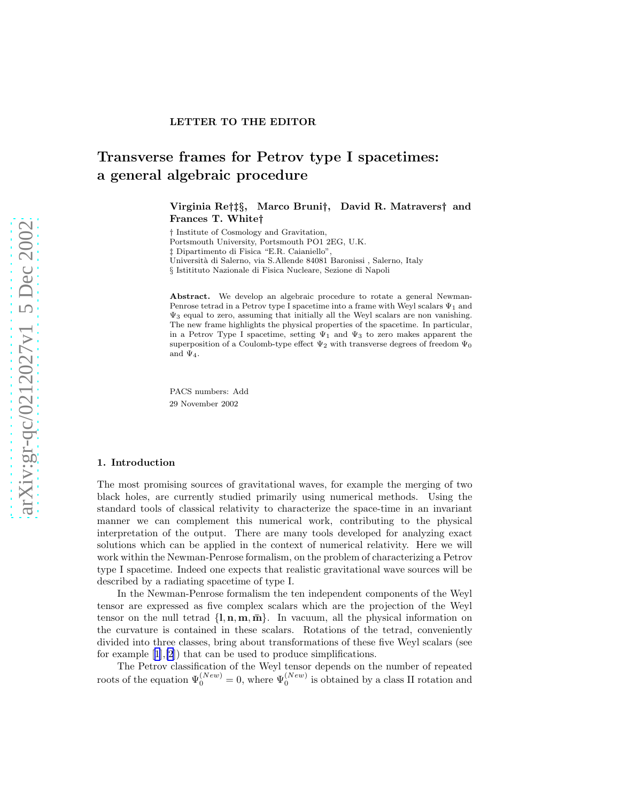# Transverse frames for Petrov type I spacetimes: a general algebraic procedure

Virginia Re†‡§, Marco Bruni†, David R. Matravers† and Frances T. White†

† Institute of Cosmology and Gravitation, Portsmouth University, Portsmouth PO1 2EG, U.K.

‡ Dipartimento di Fisica "E.R. Caianiello",

Università di Salerno, via S.Allende 84081 Baronissi , Salerno, Italy

§ Istitituto Nazionale di Fisica Nucleare, Sezione di Napoli

Abstract. We develop an algebraic procedure to rotate a general Newman-Penrose tetrad in a Petrov type I spacetime into a frame with Weyl scalars  $\Psi_1$  and  $\Psi_3$  equal to zero, assuming that initially all the Weyl scalars are non vanishing. The new frame highlights the physical properties of the spacetime. In particular, in a Petrov Type I spacetime, setting  $\Psi_1$  and  $\Psi_3$  to zero makes apparent the superposition of a Coulomb-type effect  $\Psi_2$  with transverse degrees of freedom  $\Psi_0$ and  $\Psi_4$ .

PACS numbers: Add 29 November 2002

# 1. Introduction

The most promising sources of gravitational waves, for example the merging of two black holes, are currently studied primarily using numerical methods. Using the standard tools of classical relativity to characterize the space-time in an invariant manner we can complement this numerical work, contributing to the physical interpretation of the output. There are many tools developed for analyzing exact solutions which can be applied in the context of numerical relativity. Here we will work within the Newman-Penrose formalism, on the problem of characterizing a Petrov type I spacetime. Indeed one expects that realistic gravitational wave sources will be described by a radiating spacetime of type I.

In the Newman-Penrose formalism the ten independent components of the Weyl tensor are expressed as five complex scalars which are the projection of the Weyl tensor on the null tetrad  $\{l, n, m, \bar{m}\}\$ . In vacuum, all the physical information on the curvature is contained in these scalars. Rotations of the tetrad, conveniently divided into three classes, bring about transformations of these five Weyl scalars (see for example[[1\]](#page-9-0),[\[2](#page-9-0)]) that can be used to produce simplifications.

The Petrov classification of the Weyl tensor depends on the number of repeated roots of the equation  $\Psi_0^{(New)} = 0$ , where  $\Psi_0^{(New)}$  is obtained by a class II rotation and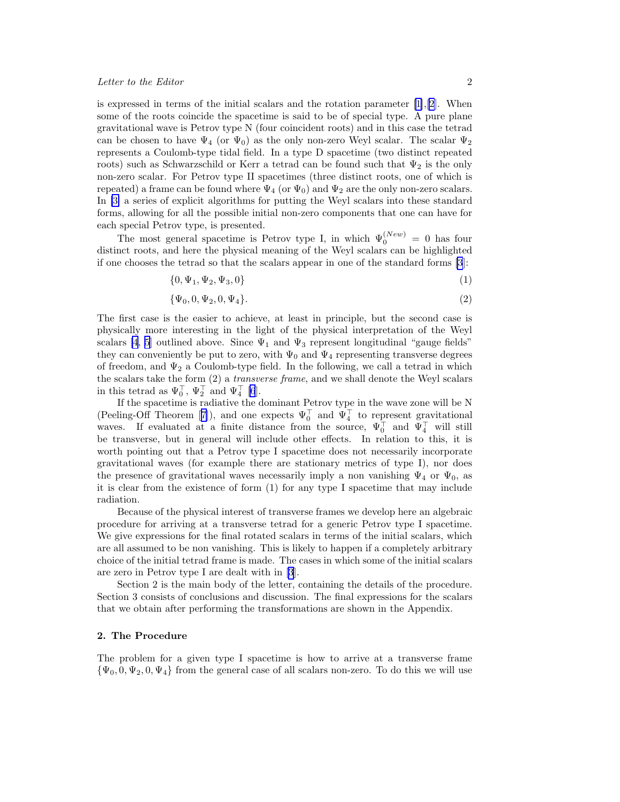## Letter to the Editor 2

isexpressed in terms of the initial scalars and the rotation parameter  $[1],[2]$  $[1],[2]$  $[1],[2]$  $[1],[2]$  $[1],[2]$ . When some of the roots coincide the spacetime is said to be of special type. A pure plane gravitational wave is Petrov type N (four coincident roots) and in this case the tetrad can be chosen to have  $\Psi_4$  (or  $\Psi_0$ ) as the only non-zero Weyl scalar. The scalar  $\Psi_2$ represents a Coulomb-type tidal field. In a type D spacetime (two distinct repeated roots) such as Schwarzschild or Kerr a tetrad can be found such that  $\Psi_2$  is the only non-zero scalar. For Petrov type II spacetimes (three distinct roots, one of which is repeated) a frame can be found where  $\Psi_4$  (or  $\Psi_0$ ) and  $\Psi_2$  are the only non-zero scalars. In [\[3\]](#page-9-0) a series of explicit algorithms for putting the Weyl scalars into these standard forms, allowing for all the possible initial non-zero components that one can have for each special Petrov type, is presented.

The most general spacetime is Petrov type I, in which  $\Psi_0^{(New)} = 0$  has four distinct roots, and here the physical meaning of the Weyl scalars can be highlighted if one chooses the tetrad so that the scalars appear in one of the standard forms [\[3](#page-9-0)]:

$$
\{0, \Psi_1, \Psi_2, \Psi_3, 0\} \tag{1}
$$

$$
\{\Psi_0, 0, \Psi_2, 0, \Psi_4\}.
$$
 (2)

The first case is the easier to achieve, at least in principle, but the second case is physically more interesting in the light of the physical interpretation of the Weyl scalars [\[4](#page-9-0), [5](#page-9-0)] outlined above. Since  $\Psi_1$  and  $\Psi_3$  represent longitudinal "gauge fields" they can conveniently be put to zero, with  $\Psi_0$  and  $\Psi_4$  representing transverse degrees of freedom, and  $\Psi_2$  a Coulomb-type field. In the following, we call a tetrad in which the scalars take the form  $(2)$  a *transverse frame*, and we shall denote the Weyl scalars in this tetrad as  $\Psi_0^{\top}$ ,  $\Psi_2^{\top}$  and  $\Psi_4^{\top}$  [\[6](#page-9-0)].

If the spacetime is radiative the dominant Petrov type in the wave zone will be N (Peeling-OffTheorem [[7\]](#page-9-0)), and one expects  $\Psi_0^{\top}$  and  $\Psi_4^{\top}$  to represent gravitational waves. If evaluated at a finite distance from the source,  $\Psi_0^{\dagger}$  and  $\Psi_4^{\dagger}$  will still be transverse, but in general will include other effects. In relation to this, it is worth pointing out that a Petrov type I spacetime does not necessarily incorporate gravitational waves (for example there are stationary metrics of type I), nor does the presence of gravitational waves necessarily imply a non vanishing  $\Psi_4$  or  $\Psi_0$ , as it is clear from the existence of form (1) for any type I spacetime that may include radiation.

Because of the physical interest of transverse frames we develop here an algebraic procedure for arriving at a transverse tetrad for a generic Petrov type I spacetime. We give expressions for the final rotated scalars in terms of the initial scalars, which are all assumed to be non vanishing. This is likely to happen if a completely arbitrary choice of the initial tetrad frame is made. The cases in which some of the initial scalars are zero in Petrov type I are dealt with in [\[3](#page-9-0)].

Section 2 is the main body of the letter, containing the details of the procedure. Section 3 consists of conclusions and discussion. The final expressions for the scalars that we obtain after performing the transformations are shown in the Appendix.

# 2. The Procedure

The problem for a given type I spacetime is how to arrive at a transverse frame  ${\Psi_0, 0, \Psi_2, 0, \Psi_4}$  from the general case of all scalars non-zero. To do this we will use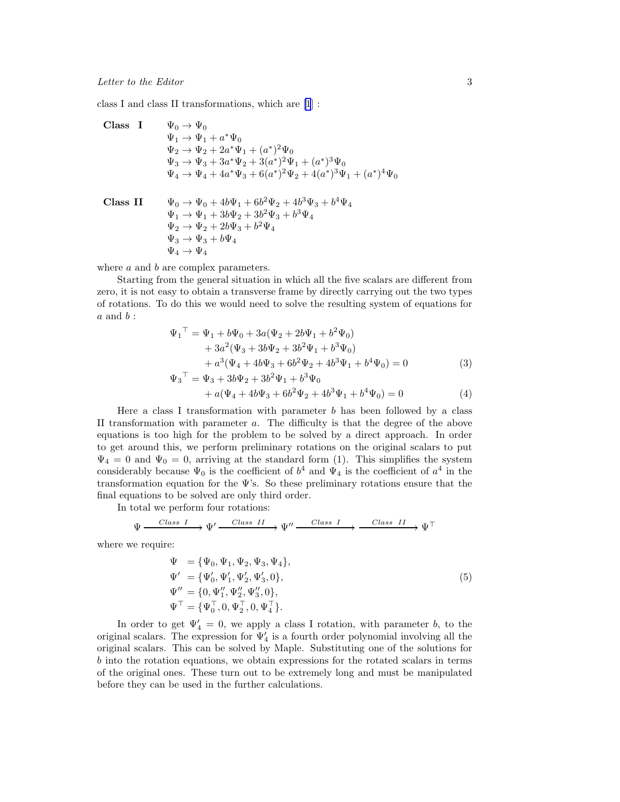<span id="page-2-0"></span>class I and class II transformations, which are [\[1](#page-9-0)] :

Class I

\n
$$
\Psi_0 \to \Psi_0
$$
\n
$$
\Psi_1 \to \Psi_1 + a^* \Psi_0
$$
\n
$$
\Psi_2 \to \Psi_2 + 2a^* \Psi_1 + (a^*)^2 \Psi_0
$$
\n
$$
\Psi_3 \to \Psi_3 + 3a^* \Psi_2 + 3(a^*)^2 \Psi_1 + (a^*)^3 \Psi_0
$$
\n
$$
\Psi_4 \to \Psi_4 + 4a^* \Psi_3 + 6(a^*)^2 \Psi_2 + 4(a^*)^3 \Psi_1 + (a^*)^4 \Psi_0
$$
\nClass II

\n
$$
\Psi_0 \to \Psi_0 + 4b \Psi_1 + 6b^2 \Psi_2 + 4b^3 \Psi_3 + b^4 \Psi_4
$$

 $\Psi_1 \to \Psi_1 + 3b\Psi_2 + 3b^2\Psi_3 + b^3\Psi_4$  $\Psi_2 \rightarrow \Psi_2 + 2b\Psi_3 + b^2\Psi_4$  $\Psi_3 \rightarrow \Psi_3 + b \Psi_4$  $\Psi_4 \rightarrow \Psi_4$ 

where  $a$  and  $b$  are complex parameters.

Starting from the general situation in which all the five scalars are different from zero, it is not easy to obtain a transverse frame by directly carrying out the two types of rotations. To do this we would need to solve the resulting system of equations for  $a$  and  $b$  :

$$
\Psi_1^{\top} = \Psi_1 + b\Psi_0 + 3a(\Psi_2 + 2b\Psi_1 + b^2\Psi_0) \n+ 3a^2(\Psi_3 + 3b\Psi_2 + 3b^2\Psi_1 + b^3\Psi_0) \n+ a^3(\Psi_4 + 4b\Psi_3 + 6b^2\Psi_2 + 4b^3\Psi_1 + b^4\Psi_0) = 0
$$
\n(3)  
\n
$$
\Psi_3^{\top} = \Psi_3 + 3b\Psi_2 + 3b^2\Psi_1 + b^3\Psi_0 \n+ a(\Psi_4 + 4b\Psi_3 + 6b^2\Psi_2 + 4b^3\Psi_1 + b^4\Psi_0) = 0
$$
\n(4)

Here a class I transformation with parameter  $b$  has been followed by a class II transformation with parameter  $a$ . The difficulty is that the degree of the above equations is too high for the problem to be solved by a direct approach. In order to get around this, we perform preliminary rotations on the original scalars to put  $\Psi_4 = 0$  and  $\Psi_0 = 0$ , arriving at the standard form (1). This simplifies the system considerably because  $\Psi_0$  is the coefficient of  $b^4$  and  $\Psi_4$  is the coefficient of  $a^4$  in the transformation equation for the Ψ's. So these preliminary rotations ensure that the final equations to be solved are only third order.

In total we perform four rotations:

$$
\Psi \xrightarrow{Class \ I} \Psi' \xrightarrow{Class \ II} \Psi'' \xrightarrow{Class \ I} \xrightarrow{Class \ II} \Psi^{\top}
$$

where we require:

$$
\Psi = {\Psi_0, \Psi_1, \Psi_2, \Psi_3, \Psi_4}, \n\Psi' = {\Psi'_0, \Psi'_1, \Psi'_2, \Psi'_3, 0}, \n\Psi'' = {\mathbf{0}, \Psi''_1, \Psi''_2, \Psi''_3, 0}, \n\Psi^{\top} = {\Psi_0^{\top}, 0, \Psi_2^{\top}, 0, \Psi_4^{\top}}.
$$
\n(5)

In order to get  $\Psi'_4 = 0$ , we apply a class I rotation, with parameter b, to the original scalars. The expression for  $\Psi_4'$  is a fourth order polynomial involving all the original scalars. This can be solved by Maple. Substituting one of the solutions for b into the rotation equations, we obtain expressions for the rotated scalars in terms of the original ones. These turn out to be extremely long and must be manipulated before they can be used in the further calculations.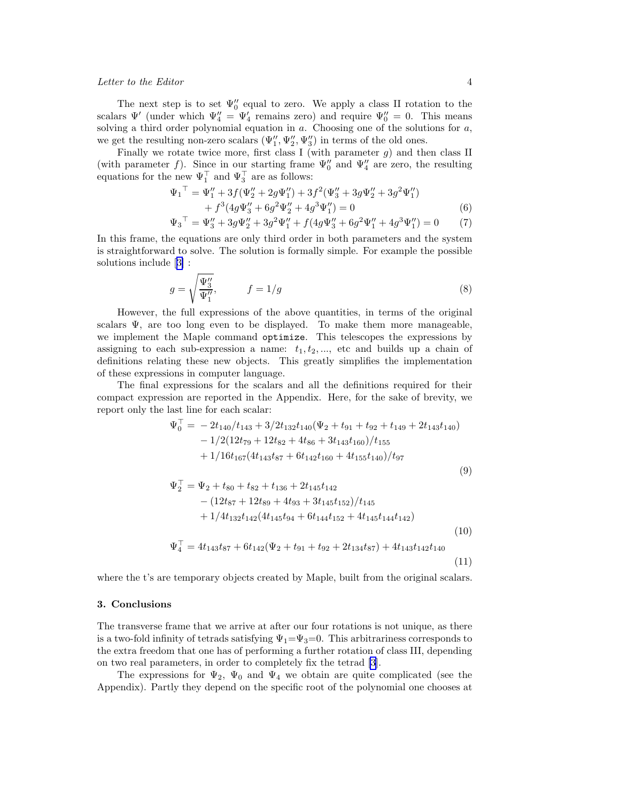## Letter to the Editor 4

The next step is to set  $\Psi_0''$  equal to zero. We apply a class II rotation to the scalars  $\Psi'$  (under which  $\Psi''_4 = \Psi'_4$  remains zero) and require  $\Psi''_0 = 0$ . This means solving a third order polynomial equation in  $a$ . Choosing one of the solutions for  $a$ , we get the resulting non-zero scalars  $(\Psi''_1, \Psi''_2, \Psi''_3)$  in terms of the old ones.

Finally we rotate twice more, first class I (with parameter  $g$ ) and then class II (with parameter f). Since in our starting frame  $\Psi_0''$  and  $\Psi_4''$  are zero, the resulting equations for the new  $\Psi_1^{\top}$  and  $\Psi_3^{\top}$  are as follows:

$$
\Psi_1^{\top} = \Psi_1'' + 3f(\Psi_2'' + 2g\Psi_1'') + 3f^2(\Psi_3'' + 3g\Psi_2'' + 3g^2\Psi_1'') \n+ f^3(4g\Psi_3'' + 6g^2\Psi_2'' + 4g^3\Psi_1'') = 0
$$
\n(6)

$$
\Psi_3^{\top} = \Psi_3'' + 3g\Psi_2'' + 3g^2\Psi_1'' + f(4g\Psi_3'' + 6g^2\Psi_1'' + 4g^3\Psi_1'') = 0 \tag{7}
$$

In this frame, the equations are only third order in both parameters and the system is straightforward to solve. The solution is formally simple. For example the possible solutions include[[3\]](#page-9-0) :

$$
g = \sqrt{\frac{\Psi_3''}{\Psi_1''}}, \qquad f = 1/g \tag{8}
$$

However, the full expressions of the above quantities, in terms of the original scalars  $\Psi$ , are too long even to be displayed. To make them more manageable, we implement the Maple command optimize. This telescopes the expressions by assigning to each sub-expression a name:  $t_1, t_2, \ldots$ , etc and builds up a chain of definitions relating these new objects. This greatly simplifies the implementation of these expressions in computer language.

The final expressions for the scalars and all the definitions required for their compact expression are reported in the Appendix. Here, for the sake of brevity, we report only the last line for each scalar:

$$
\Psi_0^{\top} = -2t_{140}/t_{143} + 3/2t_{132}t_{140}(\Psi_2 + t_{91} + t_{92} + t_{149} + 2t_{143}t_{140}) \n-1/2(12t_{79} + 12t_{82} + 4t_{86} + 3t_{143}t_{160})/t_{155} \n+1/16t_{167}(4t_{143}t_{87} + 6t_{142}t_{160} + 4t_{155}t_{140})/t_{97}
$$
\n(9)

$$
\Psi_2^{\top} = \Psi_2 + t_{80} + t_{82} + t_{136} + 2t_{145}t_{142}
$$
  
\n
$$
- (12t_{87} + 12t_{89} + 4t_{93} + 3t_{145}t_{152})/t_{145}
$$
  
\n
$$
+ 1/4t_{132}t_{142}(4t_{145}t_{94} + 6t_{144}t_{152} + 4t_{145}t_{144}t_{142})
$$
  
\n
$$
\Psi_4^{\top} = 4t_{143}t_{87} + 6t_{142}(\Psi_2 + t_{91} + t_{92} + 2t_{134}t_{87}) + 4t_{143}t_{142}t_{140}
$$
\n(10)

$$
\Psi_4^{\perp} = 4t_{143}t_{87} + 6t_{142}(\Psi_2 + t_{91} + t_{92} + 2t_{134}t_{87}) + 4t_{143}t_{142}t_{140}
$$
\n
$$
\tag{11}
$$

where the t's are temporary objects created by Maple, built from the original scalars.

# 3. Conclusions

The transverse frame that we arrive at after our four rotations is not unique, as there is a two-fold infinity of tetrads satisfying  $\Psi_1 = \Psi_3 = 0$ . This arbitrariness corresponds to the extra freedom that one has of performing a further rotation of class III, depending on two real parameters, in order to completely fix the tetrad [\[3](#page-9-0)].

The expressions for  $\Psi_2$ ,  $\Psi_0$  and  $\Psi_4$  we obtain are quite complicated (see the Appendix). Partly they depend on the specific root of the polynomial one chooses at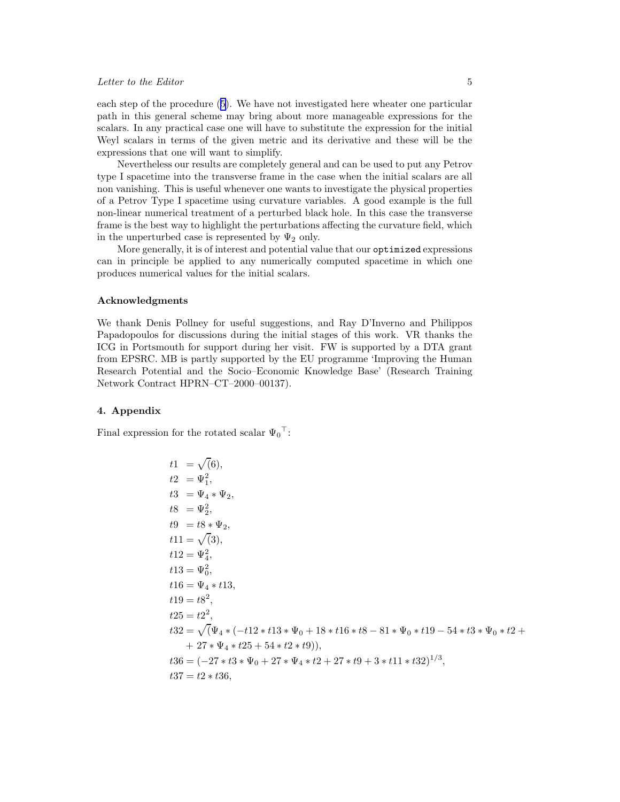## Letter to the Editor 5

each step of the procedure([5\)](#page-2-0). We have not investigated here wheater one particular path in this general scheme may bring about more manageable expressions for the scalars. In any practical case one will have to substitute the expression for the initial Weyl scalars in terms of the given metric and its derivative and these will be the expressions that one will want to simplify.

Nevertheless our results are completely general and can be used to put any Petrov type I spacetime into the transverse frame in the case when the initial scalars are all non vanishing. This is useful whenever one wants to investigate the physical properties of a Petrov Type I spacetime using curvature variables. A good example is the full non-linear numerical treatment of a perturbed black hole. In this case the transverse frame is the best way to highlight the perturbations affecting the curvature field, which in the unperturbed case is represented by  $\Psi_2$  only.

More generally, it is of interest and potential value that our optimized expressions can in principle be applied to any numerically computed spacetime in which one produces numerical values for the initial scalars.

## Acknowledgments

We thank Denis Pollney for useful suggestions, and Ray D'Inverno and Philippos Papadopoulos for discussions during the initial stages of this work. VR thanks the ICG in Portsmouth for support during her visit. FW is supported by a DTA grant from EPSRC. MB is partly supported by the EU programme 'Improving the Human Research Potential and the Socio–Economic Knowledge Base' (Research Training Network Contract HPRN–CT–2000–00137).

# 4. Appendix

Final expression for the rotated scalar  $\Psi_0^{\top}$ :

$$
t1 = \sqrt{6},
$$
  
\n
$$
t2 = \Psi_1^2,
$$
  
\n
$$
t3 = \Psi_4 * \Psi_2,
$$
  
\n
$$
t8 = \Psi_2^2,
$$
  
\n
$$
t9 = t8 * \Psi_2,
$$
  
\n
$$
t11 = \sqrt{3}),
$$
  
\n
$$
t12 = \Psi_4^2,
$$
  
\n
$$
t13 = \Psi_0^2,
$$
  
\n
$$
t16 = \Psi_4 * t13,
$$
  
\n
$$
t19 = t8^2,
$$
  
\n
$$
t25 = t2^2,
$$
  
\n
$$
t32 = \sqrt{(\Psi_4 * (-t12 * t13 * \Psi_0 + 18 * t16 * t8 - 81 * \Psi_0 * t19 - 54 * t3 * \Psi_0 * t2 + 27 * \Psi_4 * t25 + 54 * t2 * t9)),
$$
  
\n
$$
t36 = (-27 * t3 * \Psi_0 + 27 * \Psi_4 * t2 + 27 * t9 + 3 * t11 * t32)^{1/3},
$$
  
\n
$$
t37 = t2 * t36,
$$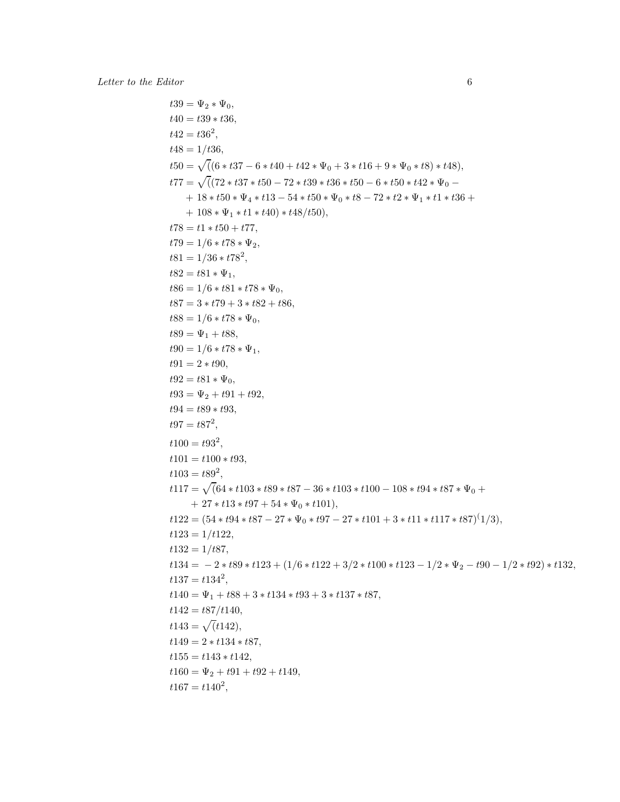$t39 = \Psi_2 * \Psi_0,$  $t40 = t39 * t36,$  $t42 = t36^2,$  $t48 = 1/t36$ ,  $t50 = \sqrt{((6 * t37 - 6 * t40 + t42 * \Psi_0 + 3 * t16 + 9 * \Psi_0 * t8) * t48)},$  $t77 = \sqrt((72 * t37 * t50 - 72 * t39 * t36 * t50 - 6 * t50 * t42 * \Psi_0 + 18 * t50 * \Psi_4 * t13 - 54 * t50 * \Psi_0 * t8 - 72 * t2 * \Psi_1 * t1 * t36 +$  $+ 108 * \Psi_1 * t1 * t40) * t48/t50$ ,  $t78 = t1 * t50 + t77,$  $t79 = 1/6 * t78 * \Psi_2$  $t81 = 1/36 * t78^2,$  $t82 = t81 * \Psi_1,$  $t86 = 1/6 * t81 * t78 * \Psi_0,$  $t87 = 3 * t79 + 3 * t82 + t86,$  $t88 = 1/6 * t78 * \Psi_0,$  $t89 = \Psi_1 + t88,$  $t90 = 1/6 * t78 * \Psi_1,$  $t91 = 2 * t90,$  $t92 = t81 * \Psi_0,$  $t93 = \Psi_2 + t91 + t92,$  $t94 = t89 * t93$ .  $t97 = t87^2,$  $t100 = t93^2,$  $t101 = t100 * t93,$  $t103 = t89^2,$  $t117 = \sqrt{(64 * t103 * t89 * t87 - 36 * t103 * t100 - 108 * t94 * t87 * \Psi_0 +$  $+ 27 * t13 * t97 + 54 * \Psi_0 * t101$ ,  $t122 = (54 * t94 * t87 - 27 * \Psi_0 * t97 - 27 * t101 + 3 * t11 * t117 * t87)^{(1/3)},$  $t123 = 1/t122,$  $t132 = 1/t87,$  $t134 = -2 * t89 * t123 + (1/6 * t122 + 3/2 * t100 * t123 - 1/2 * \Psi_2 - t90 - 1/2 * t92) * t132,$  $t137 = t134^2,$  $t140 = \Psi_1 + t88 + 3 * t134 * t93 + 3 * t137 * t87,$  $t142 = t87/t140,$  $t143 = \sqrt{t142},$  $t149 = 2 * t134 * t87,$  $t155 = t143 * t142,$  $t160 = \Psi_2 + t91 + t92 + t149,$  $t167 = t140^2,$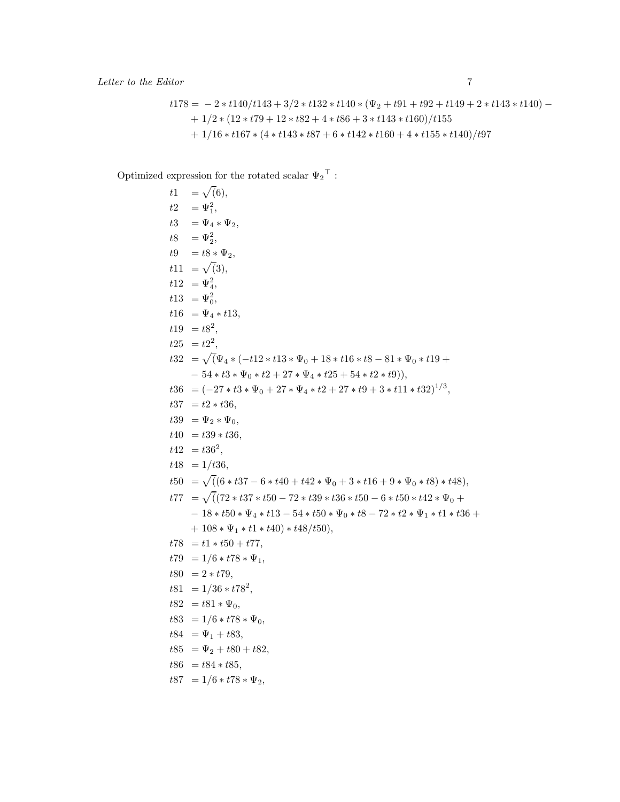$$
t178 = -2 * t140/t143 + 3/2 * t132 * t140 * (\Psi_2 + t91 + t92 + t149 + 2 * t143 * t140) -
$$
  
+ 1/2 \* (12 \* t79 + 12 \* t82 + 4 \* t86 + 3 \* t143 \* t160)/t155  
+ 1/16 \* t167 \* (4 \* t143 \* t87 + 6 \* t142 \* t160 + 4 \* t155 \* t140)/t97

Optimized expression for the rotated scalar  $\Psi_2{}^{\top}$  :

 $t1 = \sqrt(6),$  $t2 = \Psi_1^2,$ t3 =  $\Psi_4 * \Psi_2$ ,  $t8 = \Psi_2^2,$  $t9 = t8 * \Psi_2,$  $t11 = \sqrt(3),$  $t12 = \Psi_4^2,$  $t13 = \Psi_0^2,$  $t16 = \Psi_4 * t13,$  $t19 = t8^2,$  $t25 = t2^2,$  $t32 = \sqrt(\Psi_4 * (-t12 * t13 * \Psi_0 + 18 * t16 * t8 - 81 * \Psi_0 * t19 +$  $-54 * t3 * \Psi_0 * t2 + 27 * \Psi_4 * t25 + 54 * t2 * t9),$  $t36 = (-27 * t3 * \Psi_0 + 27 * \Psi_4 * t2 + 27 * t9 + 3 * t11 * t32)^{1/3},$  $t37 = t2 * t36,$  $t39 = \Psi_2 * \Psi_0,$  $t40 = t39 * t36,$  $t42 = t36^2,$  $t48 = 1/t36,$  $t50 = \sqrt{((6 * t37 - 6 * t40 + t42 * \Psi_0 + 3 * t16 + 9 * \Psi_0 * t8) * t48)},$  $t77 = \sqrt{((72 * t37 * t50 - 72 * t39 * t36 * t50 - 6 * t50 * t42 * \Psi_0 +$  $-18 * t50 * \Psi_4 * t13 - 54 * t50 * \Psi_0 * t8 - 72 * t2 * \Psi_1 * t1 * t36 +$  $+ 108 * \Psi_1 * t1 * t40) * t48/t50$ ,  $t78 = t1 * t50 + t77,$  $t79 = 1/6 * t78 * \Psi_1$  $t80 = 2 * t79,$  $t81 = 1/36 * t78^2,$  $t82 = t81 * \Psi_0,$  $t83 = 1/6 * t78 * \Psi_0,$  $t84 = \Psi_1 + t83,$  $t85 = \Psi_2 + t80 + t82,$  $t86 = t84 * t85,$  $t87 = 1/6 * t78 * \Psi_2,$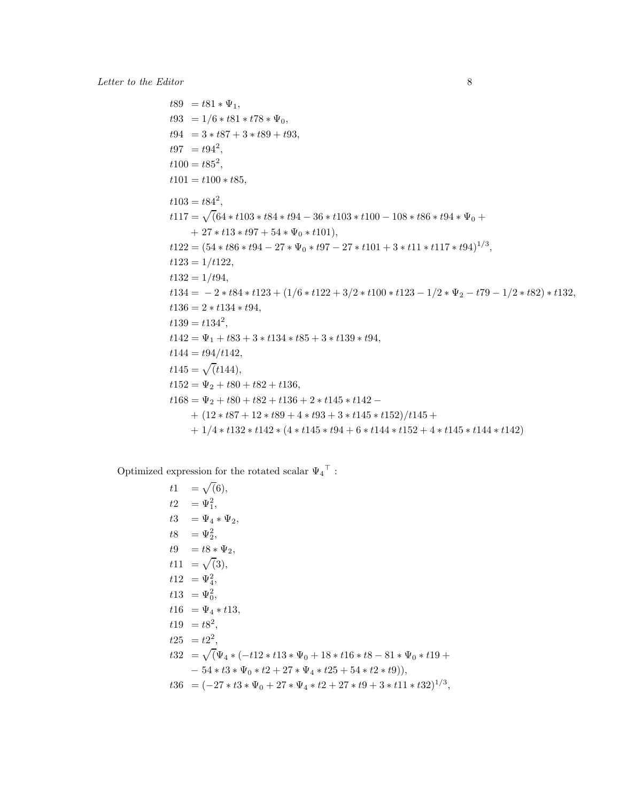$t89 = t81 * \Psi_1,$  $t93 = 1/6 * t81 * t78 * \Psi_0,$  $t94 = 3 * t87 + 3 * t89 + t93,$  $t97 = t94^2,$  $t100 = t85^2,$  $t101 = t100 * t85$ ,  $t103 = t84^2,$  $t117 = \sqrt{(64 * t103 * t84 * t94 - 36 * t103 * t100 - 108 * t86 * t94 * \Psi_0 +$  $+ 27 * t13 * t97 + 54 * \Psi_0 * t101$ ,  $t122 = (54 * t86 * t94 - 27 * \Psi_0 * t97 - 27 * t101 + 3 * t11 * t117 * t94)^{1/3},$  $t123 = 1/t122,$  $t132 = 1/t94,$  $t134 = -2 * t84 * t123 + (1/6 * t122 + 3/2 * t100 * t123 - 1/2 * \Psi_2 - t79 - 1/2 * t82) * t132,$  $t136 = 2 * t134 * t94,$  $t139 = t134^2,$  $t142 = \Psi_1 + t83 + 3 * t134 * t85 + 3 * t139 * t94,$  $t144 = t94/t142,$  $t145 = \sqrt{t144},$  $t152 = \Psi_2 + t80 + t82 + t136,$  $t168 = \Psi_2 + t80 + t82 + t136 + 2 * t145 * t142 +$   $(12 * t87 + 12 * t89 + 4 * t93 + 3 * t145 * t152)/t145 +$  $+ 1/4 * t132 * t142 * (4 * t145 * t94 + 6 * t144 * t152 + 4 * t145 * t144 * t142)$ 

Optimized expression for the rotated scalar  $\Psi_4{}^{\top}$  :

 $t1 = \sqrt(6),$  $t2 = \Psi_1^2,$ t3 =  $\Psi_4 * \Psi_2$ ,  $t8 = \Psi_2^2,$  $t9 = t8 * \Psi_2$  $t11 = \sqrt(3),$  $t12 = \Psi_4^2,$  $t13 = \Psi_0^2,$  $t16 = \Psi_4 * t13,$  $t19 = t8^2,$  $t25 = t2^2,$  $t32 = \sqrt(\Psi_4 * (-t12 * t13 * \Psi_0 + 18 * t16 * t8 - 81 * \Psi_0 * t19 +$  $-54 * t3 * \Psi_0 * t2 + 27 * \Psi_4 * t25 + 54 * t2 * t9),$  $t36 = (-27 * t3 * \Psi_0 + 27 * \Psi_4 * t2 + 27 * t9 + 3 * t11 * t32)^{1/3},$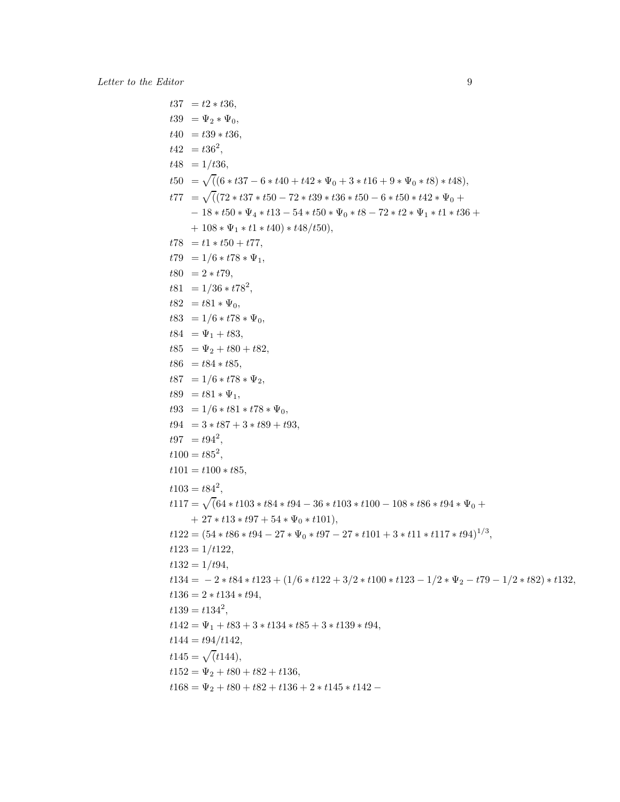$t37 = t2 * t36,$  $t39 = \Psi_2 * \Psi_0,$  $t40 = t39 * t36,$  $t42 = t36^2,$  $t48 = 1/t36$ ,  $t50 = \sqrt{((6 * t37 - 6 * t40 + t42 * \Psi_0 + 3 * t16 + 9 * \Psi_0 * t8) * t48)},$  $t77 = \sqrt{((72 * t37 * t50 - 72 * t39 * t36 * t50 - 6 * t50 * t42 * \Psi_0 +$  $-18 * t50 * \Psi_4 * t13 - 54 * t50 * \Psi_0 * t8 - 72 * t2 * \Psi_1 * t1 * t36 +$  $+ 108 * \Psi_1 * t1 * t40$ ) \* t48/t50),  $t78 = t1 * t50 + t77,$  $t79 = 1/6 * t78 * \Psi_1$  $t80 = 2 * t79,$  $t81 = 1/36 * t78^2,$  $t82 = t81 * \Psi_0,$  $t83 = 1/6 * t78 * \Psi_0,$  $t84 = \Psi_1 + t83,$  $t85 = \Psi_2 + t80 + t82,$  $t86 = t84 * t85,$  $t87 = 1/6 * t78 * \Psi_2$  $t89 = t81 * \Psi_1,$  $t93 = 1/6 * t81 * t78 * \Psi_0$  $t94 = 3 * t87 + 3 * t89 + t93,$  $t97 = t94^2,$  $t100 = t85^2,$  $t101 = t100 * t85,$  $t103 = t84^2,$  $t117 = \sqrt{(64 * t103 * t84 * t94 - 36 * t103 * t100 - 108 * t86 * t94 * \Psi_0 +$  $+ 27 * t13 * t97 + 54 * \Psi_0 * t101$ ,  $t122 = (54 * t86 * t94 - 27 * \Psi_0 * t97 - 27 * t101 + 3 * t11 * t117 * t94)^{1/3},$  $t123 = 1/t122$ ,  $t132 = 1/t94,$  $t134 = -2 * t84 * t123 + (1/6 * t122 + 3/2 * t100 * t123 - 1/2 * \Psi_2 - t79 - 1/2 * t82) * t132,$  $t136 = 2 * t134 * t94,$  $t139 = t134^2,$  $t142 = \Psi_1 + t83 + 3 * t134 * t85 + 3 * t139 * t94,$  $t144 = t94/t142,$  $t145 = \sqrt{t144},$  $t152 = \Psi_2 + t80 + t82 + t136,$  $t168 = \Psi_2 + t80 + t82 + t136 + 2 * t145 * t142 -$